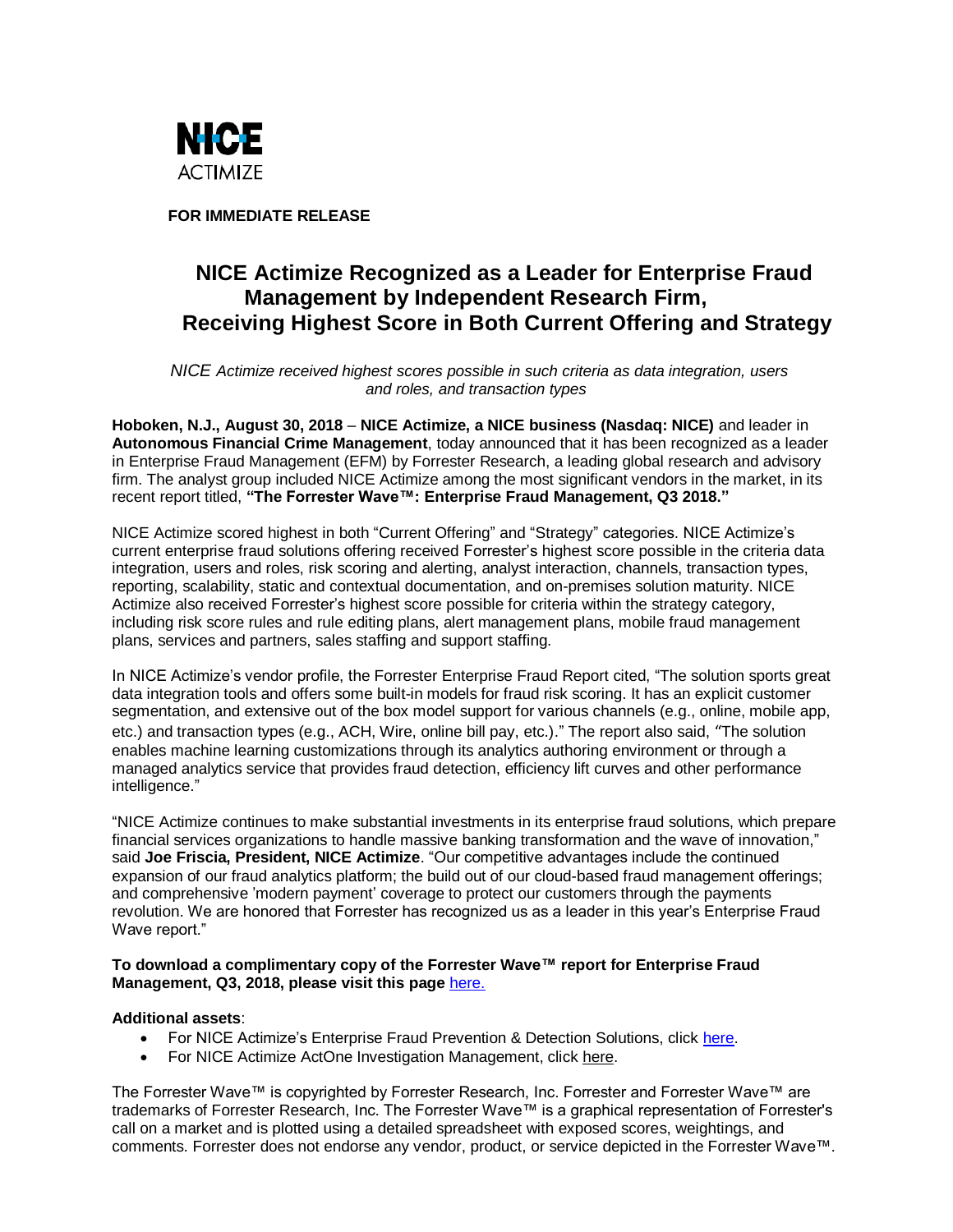

**FOR IMMEDIATE RELEASE**

# **NICE Actimize Recognized as a Leader for Enterprise Fraud Management by Independent Research Firm, Receiving Highest Score in Both Current Offering and Strategy**

*NICE Actimize received highest scores possible in such criteria as data integration, users and roles, and transaction types*

**Hoboken, N.J., August 30, 2018** – **NICE Actimize, a NICE business (Nasdaq: NICE)** and leader in **Autonomous Financial Crime Management**, today announced that it has been recognized as a leader in Enterprise Fraud Management (EFM) by Forrester Research, a leading global research and advisory firm. The analyst group included NICE Actimize among the most significant vendors in the market, in its recent report titled, **"The Forrester Wave™: Enterprise Fraud Management, Q3 2018."**

NICE Actimize scored highest in both "Current Offering" and "Strategy" categories. NICE Actimize's current enterprise fraud solutions offering received Forrester's highest score possible in the criteria data integration, users and roles, risk scoring and alerting, analyst interaction, channels, transaction types, reporting, scalability, static and contextual documentation, and on-premises solution maturity. NICE Actimize also received Forrester's highest score possible for criteria within the strategy category, including risk score rules and rule editing plans, alert management plans, mobile fraud management plans, services and partners, sales staffing and support staffing.

In NICE Actimize's vendor profile, the Forrester Enterprise Fraud Report cited, "The solution sports great data integration tools and offers some built-in models for fraud risk scoring. It has an explicit customer segmentation, and extensive out of the box model support for various channels (e.g., online, mobile app, etc.) and transaction types (e.g., ACH, Wire, online bill pay, etc.)." The report also said, "The solution enables machine learning customizations through its analytics authoring environment or through a managed analytics service that provides fraud detection, efficiency lift curves and other performance intelligence."

"NICE Actimize continues to make substantial investments in its enterprise fraud solutions, which prepare financial services organizations to handle massive banking transformation and the wave of innovation," said **Joe Friscia, President, NICE Actimize**. "Our competitive advantages include the continued expansion of our fraud analytics platform; the build out of our cloud-based fraud management offerings; and comprehensive 'modern payment' coverage to protect our customers through the payments revolution. We are honored that Forrester has recognized us as a leader in this year's Enterprise Fraud Wave report."

## **To download a complimentary copy of the Forrester Wave™ report for Enterprise Fraud** Management, Q3, 2018, please visit this page [here.](https://www.nice.com/websites/Forrester-Wave-Report/index.html)

## **Additional assets**:

- For NICE Actimize's Enterprise Fraud Prevention & Detection Solutions, click [here.](https://www.niceactimize.com/fraud-detection-and-prevention)
- For NICE Actimize ActOne Investigation Management, click [here.](https://www.niceactimize.com/enterprise-risk-case-management/enterprise-risk-case-management-overview)

The Forrester Wave™ is copyrighted by Forrester Research, Inc. Forrester and Forrester Wave™ are trademarks of Forrester Research, Inc. The Forrester Wave™ is a graphical representation of Forrester's call on a market and is plotted using a detailed spreadsheet with exposed scores, weightings, and comments. Forrester does not endorse any vendor, product, or service depicted in the Forrester Wave™.